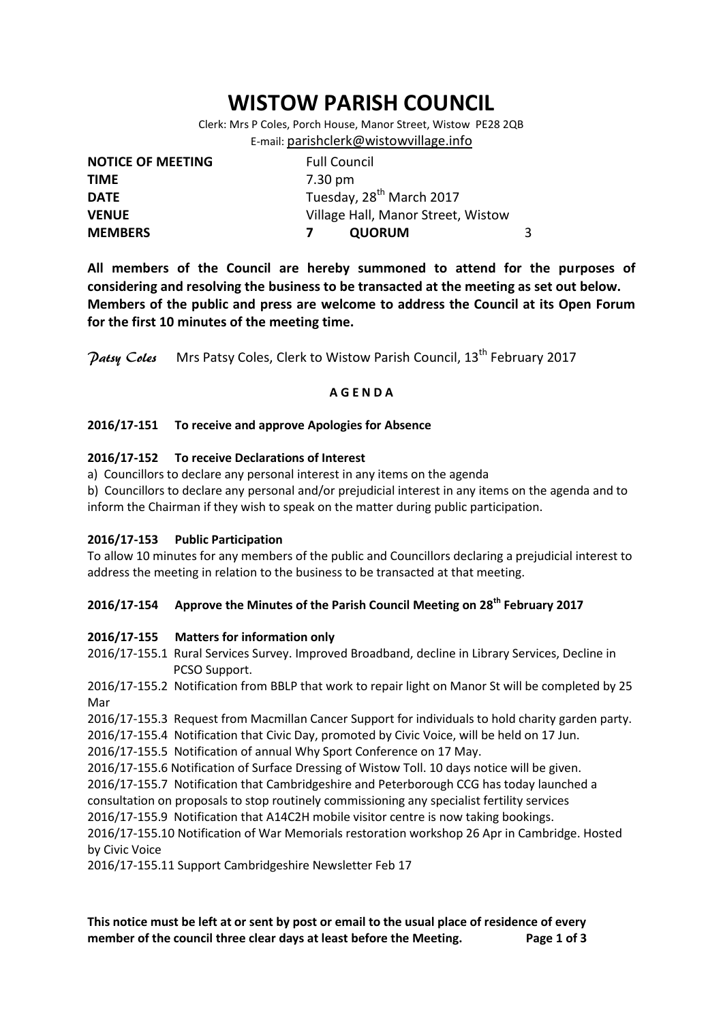# **WISTOW PARISH COUNCIL**

Clerk: Mrs P Coles, Porch House, Manor Street, Wistow PE28 2QB E-mail: [parishclerk@wistowvillage.info](mailto:parishclerk@wistowvillage.info)

| <b>NOTICE OF MEETING</b> | <b>Full Council</b>                  |   |
|--------------------------|--------------------------------------|---|
| <b>TIME</b>              | 7.30 pm                              |   |
| <b>DATE</b>              | Tuesday, 28 <sup>th</sup> March 2017 |   |
| <b>VENUE</b>             | Village Hall, Manor Street, Wistow   |   |
| <b>MEMBERS</b>           | <b>QUORUM</b>                        | 3 |

**All members of the Council are hereby summoned to attend for the purposes of considering and resolving the business to be transacted at the meeting as set out below. Members of the public and press are welcome to address the Council at its Open Forum for the first 10 minutes of the meeting time.**

Patsy Coles Mrs Patsy Coles, Clerk to Wistow Parish Council, 13<sup>th</sup> February 2017

## **A G E N D A**

## **2016/17-151 To receive and approve Apologies for Absence**

## **2016/17-152 To receive Declarations of Interest**

a) Councillors to declare any personal interest in any items on the agenda

b) Councillors to declare any personal and/or prejudicial interest in any items on the agenda and to inform the Chairman if they wish to speak on the matter during public participation.

## **2016/17-153 Public Participation**

To allow 10 minutes for any members of the public and Councillors declaring a prejudicial interest to address the meeting in relation to the business to be transacted at that meeting.

# **2016/17-154 Approve the Minutes of the Parish Council Meeting on 28th February 2017**

## **2016/17-155 Matters for information only**

2016/17-155.1 Rural Services Survey. Improved Broadband, decline in Library Services, Decline in PCSO Support.

2016/17-155.2 Notification from BBLP that work to repair light on Manor St will be completed by 25 Mar

2016/17-155.3 Request from Macmillan Cancer Support for individuals to hold charity garden party.

2016/17-155.4 Notification that Civic Day, promoted by Civic Voice, will be held on 17 Jun.

2016/17-155.5 Notification of annual Why Sport Conference on 17 May.

2016/17-155.6 Notification of Surface Dressing of Wistow Toll. 10 days notice will be given.

2016/17-155.7 Notification that Cambridgeshire and Peterborough CCG has today launched a consultation on proposals to stop routinely commissioning any specialist fertility services

2016/17-155.9 Notification that A14C2H mobile visitor centre is now taking bookings.

2016/17-155.10 Notification of War Memorials restoration workshop 26 Apr in Cambridge. Hosted by Civic Voice

2016/17-155.11 Support Cambridgeshire Newsletter Feb 17

**This notice must be left at or sent by post or email to the usual place of residence of every member of the council three clear days at least before the Meeting. Page 1 of 3**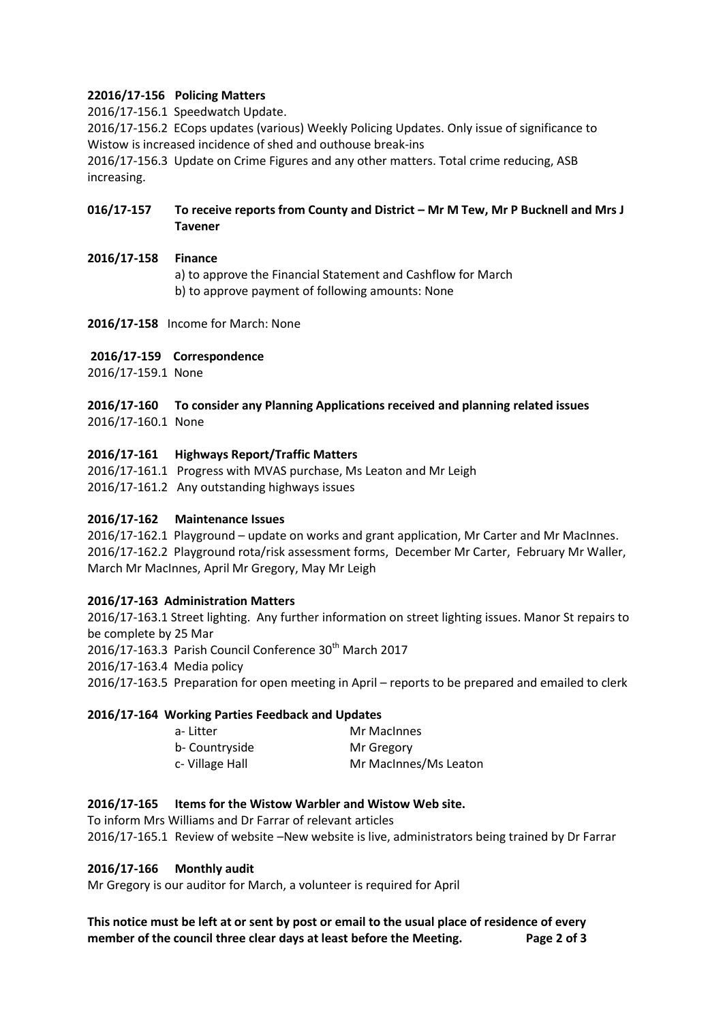## **22016/17-156 Policing Matters**

2016/17-156.1 Speedwatch Update.

2016/17-156.2 ECops updates (various) Weekly Policing Updates. Only issue of significance to Wistow is increased incidence of shed and outhouse break-ins

2016/17-156.3 Update on Crime Figures and any other matters. Total crime reducing, ASB increasing.

# **016/17-157 To receive reports from County and District – Mr M Tew, Mr P Bucknell and Mrs J Tavener**

## **2016/17-158 Finance**

a) to approve the Financial Statement and Cashflow for March b) to approve payment of following amounts: None

## **2016/17-158** Income for March: None

## **2016/17-159 Correspondence**

2016/17-159.1 None

## **2016/17-160 To consider any Planning Applications received and planning related issues** 2016/17-160.1 None

## **2016/17-161 Highways Report/Traffic Matters**

2016/17-161.1 Progress with MVAS purchase, Ms Leaton and Mr Leigh

2016/17-161.2 Any outstanding highways issues

## **2016/17-162 Maintenance Issues**

2016/17-162.1 Playground – update on works and grant application, Mr Carter and Mr MacInnes. 2016/17-162.2 Playground rota/risk assessment forms, December Mr Carter, February Mr Waller, March Mr MacInnes, April Mr Gregory, May Mr Leigh

## **2016/17-163 Administration Matters**

2016/17-163.1 Street lighting. Any further information on street lighting issues. Manor St repairs to be complete by 25 Mar 2016/17-163.3 Parish Council Conference  $30<sup>th</sup>$  March 2017 2016/17-163.4 Media policy 2016/17-163.5 Preparation for open meeting in April – reports to be prepared and emailed to clerk

## **2016/17-164 Working Parties Feedback and Updates**

| a- Litter       | Mr MacInnes           |
|-----------------|-----------------------|
| b- Countryside  | Mr Gregory            |
| c- Village Hall | Mr MacInnes/Ms Leaton |

## **2016/17-165 Items for the Wistow Warbler and Wistow Web site.**

To inform Mrs Williams and Dr Farrar of relevant articles 2016/17-165.1 Review of website –New website is live, administrators being trained by Dr Farrar

## **2016/17-166 Monthly audit**

Mr Gregory is our auditor for March, a volunteer is required for April

**This notice must be left at or sent by post or email to the usual place of residence of every member of the council three clear days at least before the Meeting. Page 2 of 3**